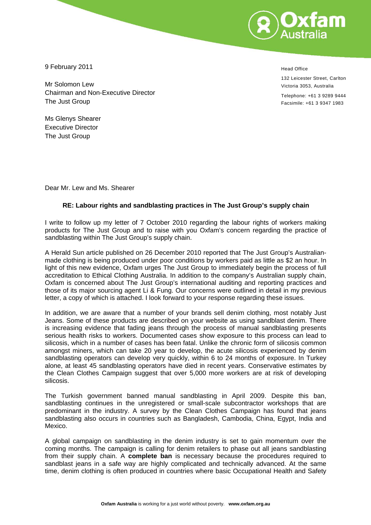

Head Office

132 Leicester Street, Carlton Victoria 3053, Australia Telephone: +61 3 9289 9444 Facsimile: +61 3 9347 1983

9 February 2011

Mr Solomon Lew Chairman and Non-Executive Director The Just Group

Ms Glenys Shearer Executive Director The Just Group

Dear Mr. Lew and Ms. Shearer

## **RE: Labour rights and sandblasting practices in The Just Group's supply chain**

I write to follow up my letter of 7 October 2010 regarding the labour rights of workers making products for The Just Group and to raise with you Oxfam's concern regarding the practice of sandblasting within The Just Group's supply chain.

A Herald Sun article published on 26 December 2010 reported that The Just Group's Australianmade clothing is being produced under poor conditions by workers paid as little as \$2 an hour. In light of this new evidence, Oxfam urges The Just Group to immediately begin the process of full accreditation to Ethical Clothing Australia. In addition to the company's Australian supply chain, Oxfam is concerned about The Just Group's international auditing and reporting practices and those of its major sourcing agent Li & Fung. Our concerns were outlined in detail in my previous letter, a copy of which is attached. I look forward to your response regarding these issues.

In addition, we are aware that a number of your brands sell denim clothing, most notably Just Jeans. Some of these products are described on your website as using sandblast denim. There is increasing evidence that fading jeans through the process of manual sandblasting presents serious health risks to workers. Documented cases show exposure to this process can lead to silicosis, which in a number of cases has been fatal. Unlike the chronic form of silicosis common amongst miners, which can take 20 year to develop, the acute silicosis experienced by denim sandblasting operators can develop very quickly, within 6 to 24 months of exposure. In Turkey alone, at least 45 sandblasting operators have died in recent years. Conservative estimates by the Clean Clothes Campaign suggest that over 5,000 more workers are at risk of developing silicosis.

The Turkish government banned manual sandblasting in April 2009. Despite this ban, sandblasting continues in the unregistered or small-scale subcontractor workshops that are predominant in the industry. A survey by the Clean Clothes Campaign has found that jeans sandblasting also occurs in countries such as Bangladesh, Cambodia, China, Egypt, India and Mexico.

A global campaign on sandblasting in the denim industry is set to gain momentum over the coming months. The campaign is calling for denim retailers to phase out all jeans sandblasting from their supply chain. A **complete ban** is necessary because the procedures required to sandblast jeans in a safe way are highly complicated and technically advanced. At the same time, denim clothing is often produced in countries where basic Occupational Health and Safety